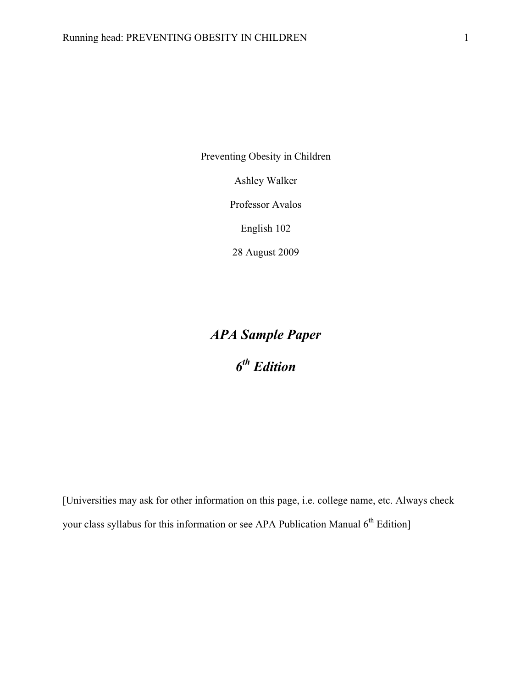Preventing Obesity in Children

Ashley Walker

Professor Avalos

English 102

28 August 2009

# *APA Sample Paper 6th Edition*

[Universities may ask for other information on this page, i.e. college name, etc. Always check your class syllabus for this information or see APA Publication Manual 6<sup>th</sup> Edition]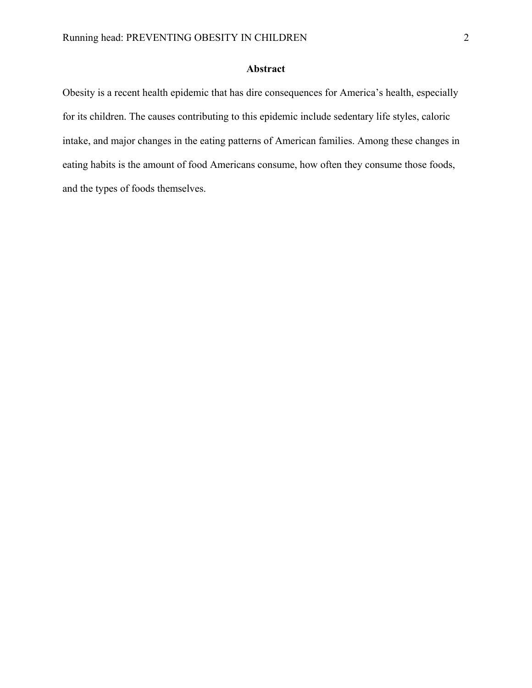# **Abstract**

Obesity is a recent health epidemic that has dire consequences for America's health, especially for its children. The causes contributing to this epidemic include sedentary life styles, caloric intake, and major changes in the eating patterns of American families. Among these changes in eating habits is the amount of food Americans consume, how often they consume those foods, and the types of foods themselves.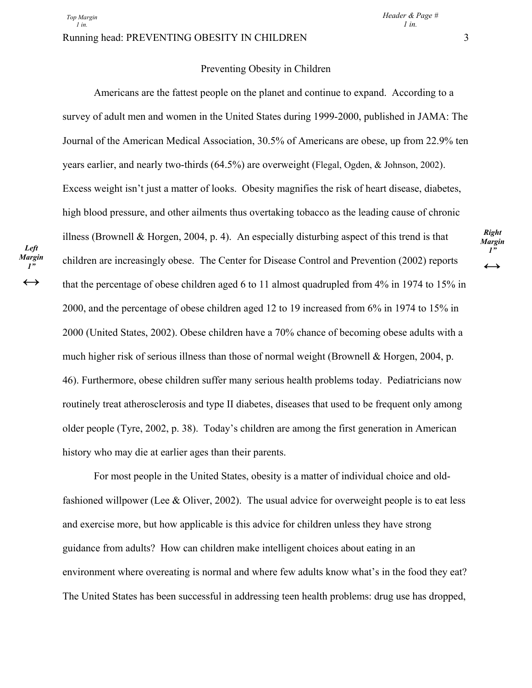*Left Margin 1"*   $\leftrightarrow$ 

#### Running head: PREVENTING OBESITY IN CHILDREN 3

## Preventing Obesity in Children

 Americans are the fattest people on the planet and continue to expand. According to a survey of adult men and women in the United States during 1999-2000, published in JAMA: The Journal of the American Medical Association, 30.5% of Americans are obese, up from 22.9% ten years earlier, and nearly two-thirds (64.5%) are overweight (Flegal, Ogden, & Johnson, 2002). Excess weight isn't just a matter of looks. Obesity magnifies the risk of heart disease, diabetes, high blood pressure, and other ailments thus overtaking tobacco as the leading cause of chronic illness (Brownell & Horgen, 2004, p. 4). An especially disturbing aspect of this trend is that children are increasingly obese. The Center for Disease Control and Prevention (2002) reports that the percentage of obese children aged 6 to 11 almost quadrupled from 4% in 1974 to 15% in 2000, and the percentage of obese children aged 12 to 19 increased from 6% in 1974 to 15% in 2000 (United States, 2002). Obese children have a 70% chance of becoming obese adults with a much higher risk of serious illness than those of normal weight (Brownell & Horgen, 2004, p. 46). Furthermore, obese children suffer many serious health problems today. Pediatricians now routinely treat atherosclerosis and type II diabetes, diseases that used to be frequent only among older people (Tyre, 2002, p. 38). Today's children are among the first generation in American history who may die at earlier ages than their parents.

 For most people in the United States, obesity is a matter of individual choice and oldfashioned willpower (Lee & Oliver, 2002). The usual advice for overweight people is to eat less and exercise more, but how applicable is this advice for children unless they have strong guidance from adults? How can children make intelligent choices about eating in an environment where overeating is normal and where few adults know what's in the food they eat? The United States has been successful in addressing teen health problems: drug use has dropped,

*Right Margin 1"*   $\leftrightarrow$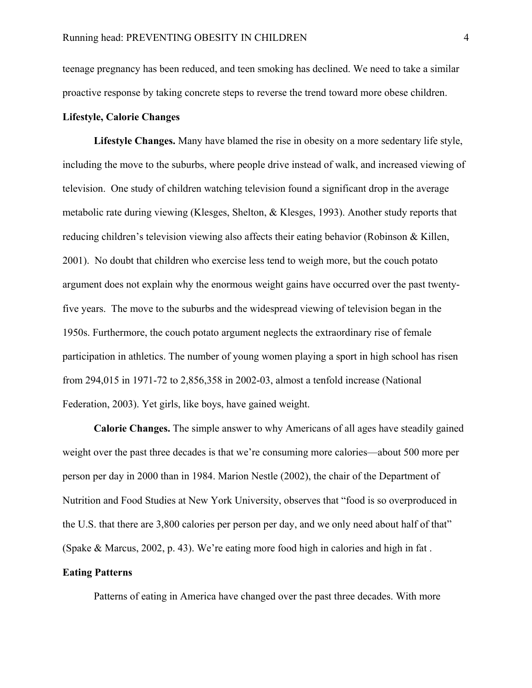teenage pregnancy has been reduced, and teen smoking has declined. We need to take a similar proactive response by taking concrete steps to reverse the trend toward more obese children.

## **Lifestyle, Calorie Changes**

 **Lifestyle Changes.** Many have blamed the rise in obesity on a more sedentary life style, including the move to the suburbs, where people drive instead of walk, and increased viewing of television. One study of children watching television found a significant drop in the average metabolic rate during viewing (Klesges, Shelton, & Klesges, 1993). Another study reports that reducing children's television viewing also affects their eating behavior (Robinson & Killen, 2001). No doubt that children who exercise less tend to weigh more, but the couch potato argument does not explain why the enormous weight gains have occurred over the past twentyfive years. The move to the suburbs and the widespread viewing of television began in the 1950s. Furthermore, the couch potato argument neglects the extraordinary rise of female participation in athletics. The number of young women playing a sport in high school has risen from 294,015 in 1971-72 to 2,856,358 in 2002-03, almost a tenfold increase (National Federation, 2003). Yet girls, like boys, have gained weight.

**Calorie Changes.** The simple answer to why Americans of all ages have steadily gained weight over the past three decades is that we're consuming more calories—about 500 more per person per day in 2000 than in 1984. Marion Nestle (2002), the chair of the Department of Nutrition and Food Studies at New York University, observes that "food is so overproduced in the U.S. that there are 3,800 calories per person per day, and we only need about half of that" (Spake & Marcus, 2002, p. 43). We're eating more food high in calories and high in fat .

# **Eating Patterns**

Patterns of eating in America have changed over the past three decades. With more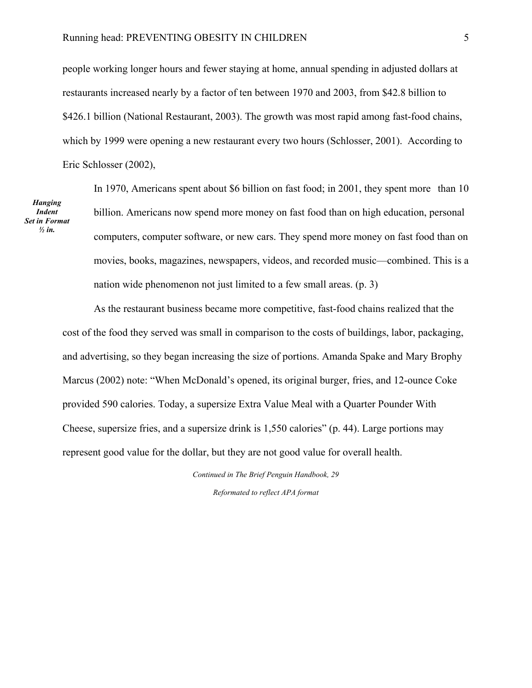people working longer hours and fewer staying at home, annual spending in adjusted dollars at restaurants increased nearly by a factor of ten between 1970 and 2003, from \$42.8 billion to \$426.1 billion (National Restaurant, 2003). The growth was most rapid among fast-food chains, which by 1999 were opening a new restaurant every two hours (Schlosser, 2001). According to Eric Schlosser (2002),

*Hanging Indent Set in Format ½ in.* 

 In 1970, Americans spent about \$6 billion on fast food; in 2001, they spent more than 10 billion. Americans now spend more money on fast food than on high education, personal computers, computer software, or new cars. They spend more money on fast food than on movies, books, magazines, newspapers, videos, and recorded music—combined. This is a nation wide phenomenon not just limited to a few small areas. (p. 3)

 As the restaurant business became more competitive, fast-food chains realized that the cost of the food they served was small in comparison to the costs of buildings, labor, packaging, and advertising, so they began increasing the size of portions. Amanda Spake and Mary Brophy Marcus (2002) note: "When McDonald's opened, its original burger, fries, and 12-ounce Coke provided 590 calories. Today, a supersize Extra Value Meal with a Quarter Pounder With Cheese, supersize fries, and a supersize drink is 1,550 calories" (p. 44). Large portions may represent good value for the dollar, but they are not good value for overall health.

> *Continued in The Brief Penguin Handbook, 29 Reformated to reflect APA format*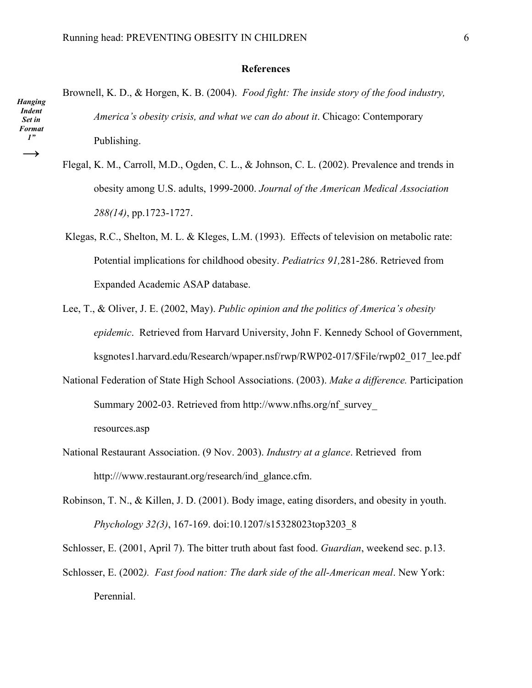### **References**

Brownell, K. D., & Horgen, K. B. (2004). *Food fight: The inside story of the food industry, America's obesity crisis, and what we can do about it*. Chicago: Contemporary Publishing. *Hanging Indent Set in Format 1"* 

- Flegal, K. M., Carroll, M.D., Ogden, C. L., & Johnson, C. L. (2002). Prevalence and trends in obesity among U.S. adults, 1999-2000. *Journal of the American Medical Association 288(14)*, pp.1723-1727.
- Klegas, R.C., Shelton, M. L. & Kleges, L.M. (1993). Effects of television on metabolic rate: Potential implications for childhood obesity. *Pediatrics 91,*281-286. Retrieved from Expanded Academic ASAP database.
- Lee, T., & Oliver, J. E. (2002, May). *Public opinion and the politics of America's obesity epidemic*. Retrieved from Harvard University, John F. Kennedy School of Government, ksgnotes1.harvard.edu/Research/wpaper.nsf/rwp/RWP02-017/\$File/rwp02\_017\_lee.pdf
- National Federation of State High School Associations. (2003). *Make a difference.* Participation Summary 2002-03. Retrieved from http://www.nfhs.org/nf\_survey\_ resources.asp
- National Restaurant Association. (9 Nov. 2003). *Industry at a glance*. Retrieved from http:///www.restaurant.org/research/ind\_glance.cfm.
- Robinson, T. N., & Killen, J. D. (2001). Body image, eating disorders, and obesity in youth. *Phychology 32(3)*, 167-169. doi:10.1207/s15328023top3203\_8

Schlosser, E. (2001, April 7). The bitter truth about fast food. *Guardian*, weekend sec. p.13. Schlosser, E. (2002*). Fast food nation: The dark side of the all-American meal*. New York:

Perennial.

*ĺ*